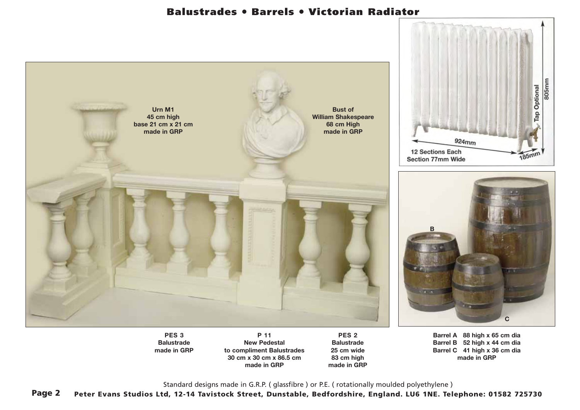## **Balustrades**  ● **Barrels**  ● **Victorian Radiator**



**PES 3 Balustrade made in GRP**

**P 11 New Pedestal to compliment Balustrades 30 cm x 30 cm x 86.5 cm made in GRP**

**PES 2 Balustrade 25 cm wide 83 cm high made in GRP** **Barrel A 88 high x 65 cm dia Barrel B 52 high x 44 cm dia Barrel C 41 high x 36 cm dia made in GRP**

Standard designs made in G.R.P. ( glassfibre ) or P.E. ( rotationally moulded polyethylene )

**Page 2 Peter Evans Studios Ltd, 12-14 Tavistock Street, Dunstable, Bedfordshire, England. LU6 1NE. Telephone: 01582 725730**